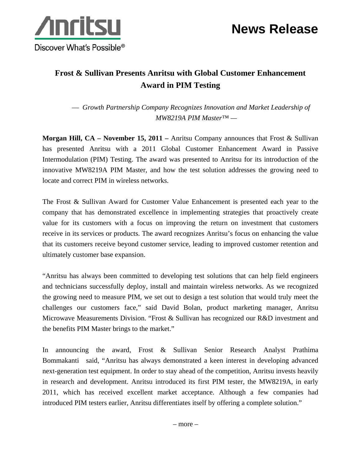



## **Frost & Sullivan Presents Anritsu with Global Customer Enhancement Award in PIM Testing**

— *Growth Partnership Company Recognizes Innovation and Market Leadership of MW8219A PIM Master™ —* 

**Morgan Hill, CA – November 15, 2011 –** Anritsu Company announces that Frost & Sullivan has presented Anritsu with a 2011 Global Customer Enhancement Award in Passive Intermodulation (PIM) Testing. The award was presented to Anritsu for its introduction of the innovative MW8219A PIM Master, and how the test solution addresses the growing need to locate and correct PIM in wireless networks.

The Frost & Sullivan Award for Customer Value Enhancement is presented each year to the company that has demonstrated excellence in implementing strategies that proactively create value for its customers with a focus on improving the return on investment that customers receive in its services or products. The award recognizes Anritsu's focus on enhancing the value that its customers receive beyond customer service, leading to improved customer retention and ultimately customer base expansion.

"Anritsu has always been committed to developing test solutions that can help field engineers and technicians successfully deploy, install and maintain wireless networks. As we recognized the growing need to measure PIM, we set out to design a test solution that would truly meet the challenges our customers face," said David Bolan, product marketing manager, Anritsu Microwave Measurements Division. "Frost & Sullivan has recognized our R&D investment and the benefits PIM Master brings to the market."

In announcing the award, Frost & Sullivan Senior Research Analyst Prathima Bommakanti said, "Anritsu has always demonstrated a keen interest in developing advanced next-generation test equipment. In order to stay ahead of the competition, Anritsu invests heavily in research and development. Anritsu introduced its first PIM tester, the MW8219A, in early 2011, which has received excellent market acceptance. Although a few companies had introduced PIM testers earlier, Anritsu differentiates itself by offering a complete solution."